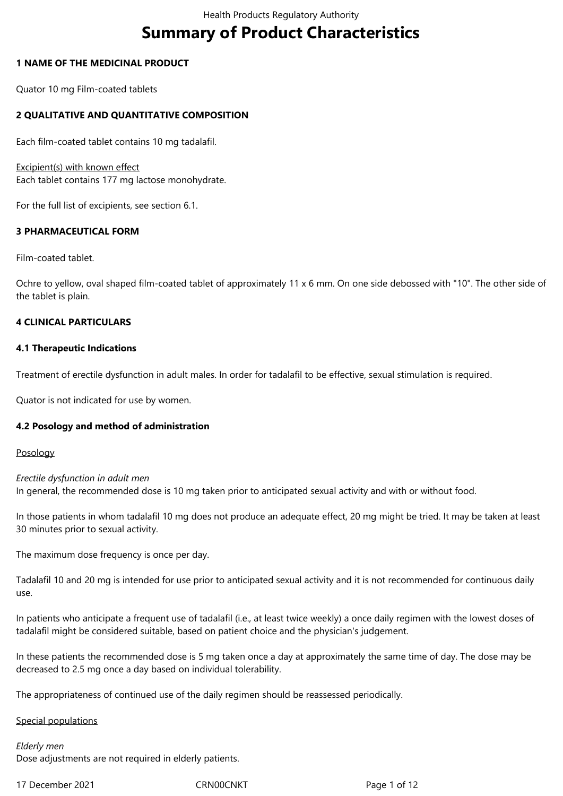# **Summary of Product Characteristics**

## **1 NAME OF THE MEDICINAL PRODUCT**

Quator 10 mg Film-coated tablets

## **2 QUALITATIVE AND QUANTITATIVE COMPOSITION**

Each film-coated tablet contains 10 mg tadalafil.

Excipient(s) with known effect Each tablet contains 177 mg lactose monohydrate.

For the full list of excipients, see section 6.1.

## **3 PHARMACEUTICAL FORM**

Film-coated tablet.

Ochre to yellow, oval shaped film-coated tablet of approximately 11 x 6 mm. On one side debossed with "10". The other side of the tablet is plain.

## **4 CLINICAL PARTICULARS**

## **4.1 Therapeutic Indications**

Treatment of erectile dysfunction in adult males. In order for tadalafil to be effective, sexual stimulation is required.

Quator is not indicated for use by women.

## **4.2 Posology and method of administration**

## Posology

*Erectile dysfunction in adult men* In general, the recommended dose is 10 mg taken prior to anticipated sexual activity and with or without food.

In those patients in whom tadalafil 10 mg does not produce an adequate effect, 20 mg might be tried. It may be taken at least 30 minutes prior to sexual activity.

The maximum dose frequency is once per day.

Tadalafil 10 and 20 mg is intended for use prior to anticipated sexual activity and it is not recommended for continuous daily use.

In patients who anticipate a frequent use of tadalafil (i.e., at least twice weekly) a once daily regimen with the lowest doses of tadalafil might be considered suitable, based on patient choice and the physician's judgement.

In these patients the recommended dose is 5 mg taken once a day at approximately the same time of day. The dose may be decreased to 2.5 mg once a day based on individual tolerability.

The appropriateness of continued use of the daily regimen should be reassessed periodically.

## Special populations

*Elderly men* Dose adjustments are not required in elderly patients.

17 December 2021 **CRNOOCNKT** Page 1 of 12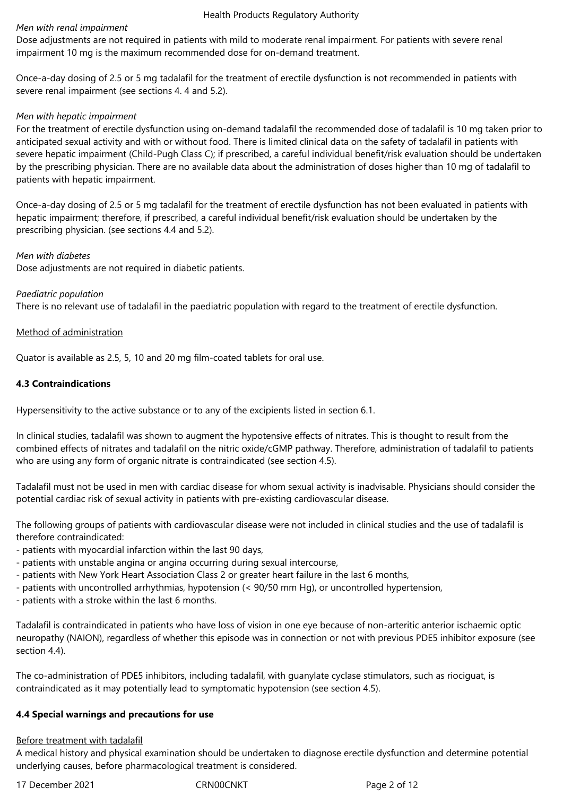#### *Men with renal impairment*

Dose adjustments are not required in patients with mild to moderate renal impairment. For patients with severe renal impairment 10 mg is the maximum recommended dose for on-demand treatment.

Once-a-day dosing of 2.5 or 5 mg tadalafil for the treatment of erectile dysfunction is not recommended in patients with severe renal impairment (see sections 4. 4 and 5.2).

#### *Men with hepatic impairment*

For the treatment of erectile dysfunction using on-demand tadalafil the recommended dose of tadalafil is 10 mg taken prior to anticipated sexual activity and with or without food. There is limited clinical data on the safety of tadalafil in patients with severe hepatic impairment (Child-Pugh Class C); if prescribed, a careful individual benefit/risk evaluation should be undertaken by the prescribing physician. There are no available data about the administration of doses higher than 10 mg of tadalafil to patients with hepatic impairment.

Once-a-day dosing of 2.5 or 5 mg tadalafil for the treatment of erectile dysfunction has not been evaluated in patients with hepatic impairment; therefore, if prescribed, a careful individual benefit/risk evaluation should be undertaken by the prescribing physician. (see sections 4.4 and 5.2).

#### *Men with diabetes*

Dose adjustments are not required in diabetic patients.

## *Paediatric population*

There is no relevant use of tadalafil in the paediatric population with regard to the treatment of erectile dysfunction.

## Method of administration

Quator is available as 2.5, 5, 10 and 20 mg film-coated tablets for oral use.

## **4.3 Contraindications**

Hypersensitivity to the active substance or to any of the excipients listed in section 6.1.

In clinical studies, tadalafil was shown to augment the hypotensive effects of nitrates. This is thought to result from the combined effects of nitrates and tadalafil on the nitric oxide/cGMP pathway. Therefore, administration of tadalafil to patients who are using any form of organic nitrate is contraindicated (see section 4.5).

Tadalafil must not be used in men with cardiac disease for whom sexual activity is inadvisable. Physicians should consider the potential cardiac risk of sexual activity in patients with pre-existing cardiovascular disease.

The following groups of patients with cardiovascular disease were not included in clinical studies and the use of tadalafil is therefore contraindicated:

- patients with myocardial infarction within the last 90 days,
- patients with unstable angina or angina occurring during sexual intercourse,
- patients with New York Heart Association Class 2 or greater heart failure in the last 6 months,
- patients with uncontrolled arrhythmias, hypotension (< 90/50 mm Hg), or uncontrolled hypertension,
- patients with a stroke within the last 6 months.

Tadalafil is contraindicated in patients who have loss of vision in one eye because of non-arteritic anterior ischaemic optic neuropathy (NAION), regardless of whether this episode was in connection or not with previous PDE5 inhibitor exposure (see section 4.4).

The co-administration of PDE5 inhibitors, including tadalafil, with guanylate cyclase stimulators, such as riociguat, is contraindicated as it may potentially lead to symptomatic hypotension (see section 4.5).

## **4.4 Special warnings and precautions for use**

## Before treatment with tadalafil

A medical history and physical examination should be undertaken to diagnose erectile dysfunction and determine potential underlying causes, before pharmacological treatment is considered.

17 December 2021 **CRNOOCNIT** CRNOOCNIC Page 2 of 12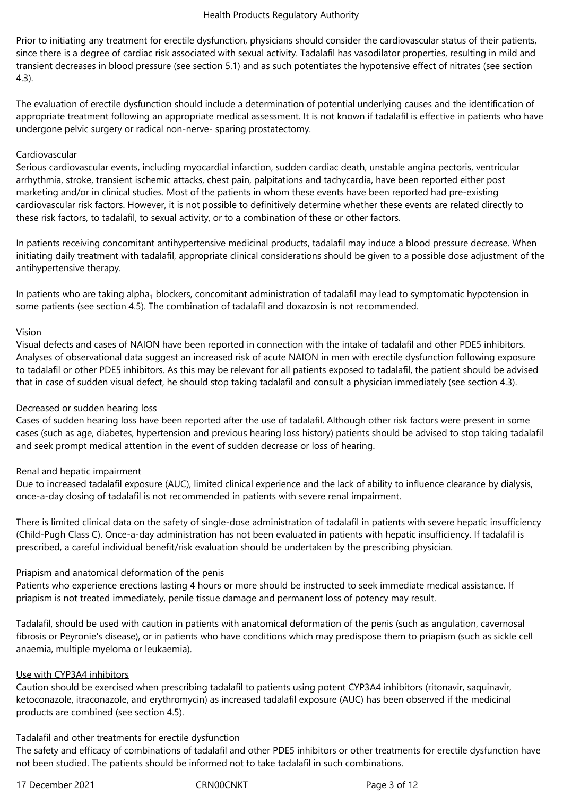Prior to initiating any treatment for erectile dysfunction, physicians should consider the cardiovascular status of their patients, since there is a degree of cardiac risk associated with sexual activity. Tadalafil has vasodilator properties, resulting in mild and transient decreases in blood pressure (see section 5.1) and as such potentiates the hypotensive effect of nitrates (see section 4.3).

The evaluation of erectile dysfunction should include a determination of potential underlying causes and the identification of appropriate treatment following an appropriate medical assessment. It is not known if tadalafil is effective in patients who have undergone pelvic surgery or radical non-nerve- sparing prostatectomy.

## Cardiovascular

Serious cardiovascular events, including myocardial infarction, sudden cardiac death, unstable angina pectoris, ventricular arrhythmia, stroke, transient ischemic attacks, chest pain, palpitations and tachycardia, have been reported either post marketing and/or in clinical studies. Most of the patients in whom these events have been reported had pre-existing cardiovascular risk factors. However, it is not possible to definitively determine whether these events are related directly to these risk factors, to tadalafil, to sexual activity, or to a combination of these or other factors.

In patients receiving concomitant antihypertensive medicinal products, tadalafil may induce a blood pressure decrease. When initiating daily treatment with tadalafil, appropriate clinical considerations should be given to a possible dose adjustment of the antihypertensive therapy.

In patients who are taking alpha<sub>1</sub> blockers, concomitant administration of tadalafil may lead to symptomatic hypotension in some patients (see section 4.5). The combination of tadalafil and doxazosin is not recommended.

## Vision

Visual defects and cases of NAION have been reported in connection with the intake of tadalafil and other PDE5 inhibitors. Analyses of observational data suggest an increased risk of acute NAION in men with erectile dysfunction following exposure to tadalafil or other PDE5 inhibitors. As this may be relevant for all patients exposed to tadalafil, the patient should be advised that in case of sudden visual defect, he should stop taking tadalafil and consult a physician immediately (see section 4.3).

## Decreased or sudden hearing loss

Cases of sudden hearing loss have been reported after the use of tadalafil. Although other risk factors were present in some cases (such as age, diabetes, hypertension and previous hearing loss history) patients should be advised to stop taking tadalafil and seek prompt medical attention in the event of sudden decrease or loss of hearing.

## Renal and hepatic impairment

Due to increased tadalafil exposure (AUC), limited clinical experience and the lack of ability to influence clearance by dialysis, once-a-day dosing of tadalafil is not recommended in patients with severe renal impairment.

There is limited clinical data on the safety of single-dose administration of tadalafil in patients with severe hepatic insufficiency (Child-Pugh Class C). Once-a-day administration has not been evaluated in patients with hepatic insufficiency. If tadalafil is prescribed, a careful individual benefit/risk evaluation should be undertaken by the prescribing physician.

## Priapism and anatomical deformation of the penis

Patients who experience erections lasting 4 hours or more should be instructed to seek immediate medical assistance. If priapism is not treated immediately, penile tissue damage and permanent loss of potency may result.

Tadalafil, should be used with caution in patients with anatomical deformation of the penis (such as angulation, cavernosal fibrosis or Peyronie's disease), or in patients who have conditions which may predispose them to priapism (such as sickle cell anaemia, multiple myeloma or leukaemia).

## Use with CYP3A4 inhibitors

Caution should be exercised when prescribing tadalafil to patients using potent CYP3A4 inhibitors (ritonavir, saquinavir, ketoconazole, itraconazole, and erythromycin) as increased tadalafil exposure (AUC) has been observed if the medicinal products are combined (see section 4.5).

## Tadalafil and other treatments for erectile dysfunction

The safety and efficacy of combinations of tadalafil and other PDE5 inhibitors or other treatments for erectile dysfunction have not been studied. The patients should be informed not to take tadalafil in such combinations.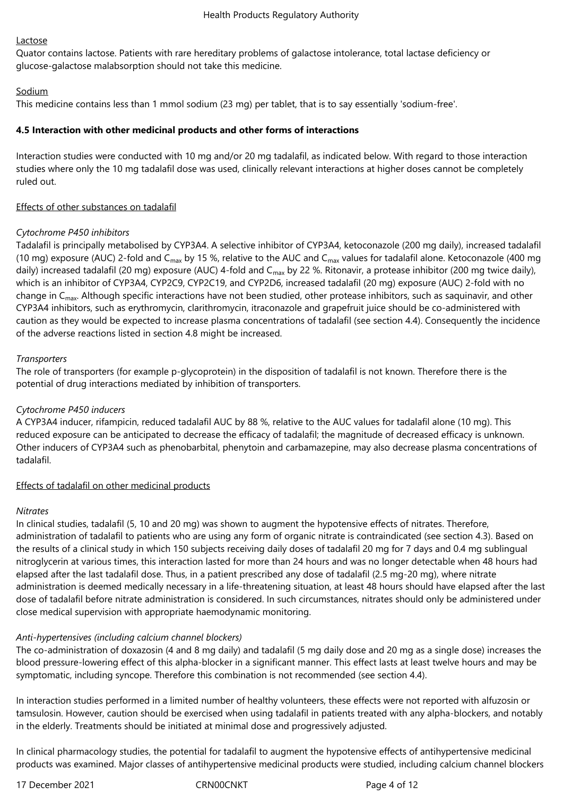## Lactose

Quator contains lactose. Patients with rare hereditary problems of galactose intolerance, total lactase deficiency or glucose-galactose malabsorption should not take this medicine.

## Sodium

This medicine contains less than 1 mmol sodium (23 mg) per tablet, that is to say essentially 'sodium-free'.

# **4.5 Interaction with other medicinal products and other forms of interactions**

Interaction studies were conducted with 10 mg and/or 20 mg tadalafil, as indicated below. With regard to those interaction studies where only the 10 mg tadalafil dose was used, clinically relevant interactions at higher doses cannot be completely ruled out.

# Effects of other substances on tadalafil

# *Cytochrome P450 inhibitors*

Tadalafil is principally metabolised by CYP3A4. A selective inhibitor of CYP3A4, ketoconazole (200 mg daily), increased tadalafil (10 mg) exposure (AUC) 2-fold and C<sub>max</sub> by 15 %, relative to the AUC and C<sub>max</sub> values for tadalafil alone. Ketoconazole (400 mg daily) increased tadalafil (20 mg) exposure (AUC) 4-fold and C<sub>max</sub> by 22 %. Ritonavir, a protease inhibitor (200 mg twice daily), which is an inhibitor of CYP3A4, CYP2C9, CYP2C19, and CYP2D6, increased tadalafil (20 mg) exposure (AUC) 2-fold with no change in C<sub>max</sub>. Although specific interactions have not been studied, other protease inhibitors, such as saquinavir, and other CYP3A4 inhibitors, such as erythromycin, clarithromycin, itraconazole and grapefruit juice should be co-administered with caution as they would be expected to increase plasma concentrations of tadalafil (see section 4.4). Consequently the incidence of the adverse reactions listed in section 4.8 might be increased.

# *Transporters*

The role of transporters (for example p-glycoprotein) in the disposition of tadalafil is not known. Therefore there is the potential of drug interactions mediated by inhibition of transporters.

# *Cytochrome P450 inducers*

A CYP3A4 inducer, rifampicin, reduced tadalafil AUC by 88 %, relative to the AUC values for tadalafil alone (10 mg). This reduced exposure can be anticipated to decrease the efficacy of tadalafil; the magnitude of decreased efficacy is unknown. Other inducers of CYP3A4 such as phenobarbital, phenytoin and carbamazepine, may also decrease plasma concentrations of tadalafil.

## Effects of tadalafil on other medicinal products

## *Nitrates*

In clinical studies, tadalafil (5, 10 and 20 mg) was shown to augment the hypotensive effects of nitrates. Therefore, administration of tadalafil to patients who are using any form of organic nitrate is contraindicated (see section 4.3). Based on the results of a clinical study in which 150 subjects receiving daily doses of tadalafil 20 mg for 7 days and 0.4 mg sublingual nitroglycerin at various times, this interaction lasted for more than 24 hours and was no longer detectable when 48 hours had elapsed after the last tadalafil dose. Thus, in a patient prescribed any dose of tadalafil (2.5 mg-20 mg), where nitrate administration is deemed medically necessary in a life-threatening situation, at least 48 hours should have elapsed after the last dose of tadalafil before nitrate administration is considered. In such circumstances, nitrates should only be administered under close medical supervision with appropriate haemodynamic monitoring.

# *Anti-hypertensives (including calcium channel blockers)*

The co-administration of doxazosin (4 and 8 mg daily) and tadalafil (5 mg daily dose and 20 mg as a single dose) increases the blood pressure-lowering effect of this alpha-blocker in a significant manner. This effect lasts at least twelve hours and may be symptomatic, including syncope. Therefore this combination is not recommended (see section 4.4).

In interaction studies performed in a limited number of healthy volunteers, these effects were not reported with alfuzosin or tamsulosin. However, caution should be exercised when using tadalafil in patients treated with any alpha-blockers, and notably in the elderly. Treatments should be initiated at minimal dose and progressively adjusted.

In clinical pharmacology studies, the potential for tadalafil to augment the hypotensive effects of antihypertensive medicinal products was examined. Major classes of antihypertensive medicinal products were studied, including calcium channel blockers

17 December 2021 **CRNOOCNIT** CRNOOCNIC Page 4 of 12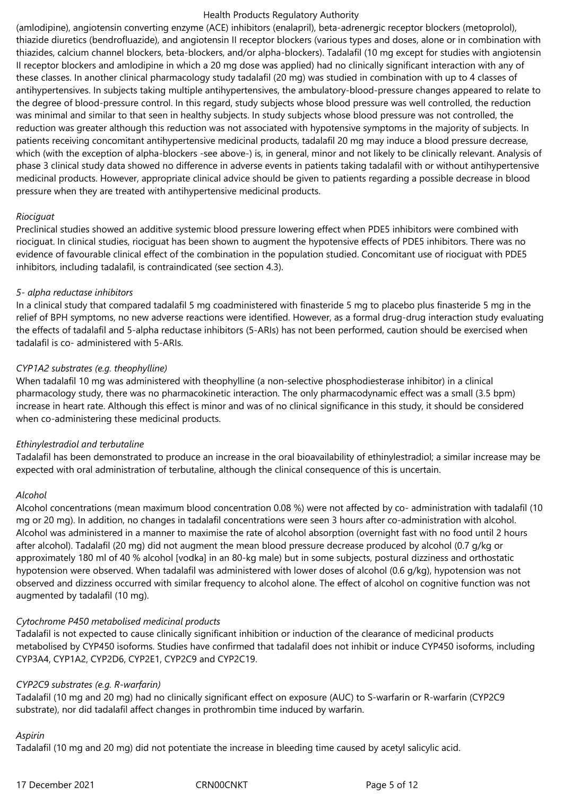(amlodipine), angiotensin converting enzyme (ACE) inhibitors (enalapril), beta-adrenergic receptor blockers (metoprolol), thiazide diuretics (bendrofluazide), and angiotensin II receptor blockers (various types and doses, alone or in combination with thiazides, calcium channel blockers, beta-blockers, and/or alpha-blockers). Tadalafil (10 mg except for studies with angiotensin II receptor blockers and amlodipine in which a 20 mg dose was applied) had no clinically significant interaction with any of these classes. In another clinical pharmacology study tadalafil (20 mg) was studied in combination with up to 4 classes of antihypertensives. In subjects taking multiple antihypertensives, the ambulatory-blood-pressure changes appeared to relate to the degree of blood-pressure control. In this regard, study subjects whose blood pressure was well controlled, the reduction was minimal and similar to that seen in healthy subjects. In study subjects whose blood pressure was not controlled, the reduction was greater although this reduction was not associated with hypotensive symptoms in the majority of subjects. In patients receiving concomitant antihypertensive medicinal products, tadalafil 20 mg may induce a blood pressure decrease, which (with the exception of alpha-blockers -see above-) is, in general, minor and not likely to be clinically relevant. Analysis of phase 3 clinical study data showed no difference in adverse events in patients taking tadalafil with or without antihypertensive medicinal products. However, appropriate clinical advice should be given to patients regarding a possible decrease in blood pressure when they are treated with antihypertensive medicinal products.

## *Riociguat*

Preclinical studies showed an additive systemic blood pressure lowering effect when PDE5 inhibitors were combined with riociguat. In clinical studies, riociguat has been shown to augment the hypotensive effects of PDE5 inhibitors. There was no evidence of favourable clinical effect of the combination in the population studied. Concomitant use of riociguat with PDE5 inhibitors, including tadalafil, is contraindicated (see section 4.3).

#### *5- alpha reductase inhibitors*

In a clinical study that compared tadalafil 5 mg coadministered with finasteride 5 mg to placebo plus finasteride 5 mg in the relief of BPH symptoms, no new adverse reactions were identified. However, as a formal drug-drug interaction study evaluating the effects of tadalafil and 5-alpha reductase inhibitors (5-ARIs) has not been performed, caution should be exercised when tadalafil is co- administered with 5-ARIs.

## *CYP1A2 substrates (e.g. theophylline)*

When tadalafil 10 mg was administered with theophylline (a non-selective phosphodiesterase inhibitor) in a clinical pharmacology study, there was no pharmacokinetic interaction. The only pharmacodynamic effect was a small (3.5 bpm) increase in heart rate. Although this effect is minor and was of no clinical significance in this study, it should be considered when co-administering these medicinal products.

## *Ethinylestradiol and terbutaline*

Tadalafil has been demonstrated to produce an increase in the oral bioavailability of ethinylestradiol; a similar increase may be expected with oral administration of terbutaline, although the clinical consequence of this is uncertain.

## *Alcohol*

Alcohol concentrations (mean maximum blood concentration 0.08 %) were not affected by co- administration with tadalafil (10 mg or 20 mg). In addition, no changes in tadalafil concentrations were seen 3 hours after co-administration with alcohol. Alcohol was administered in a manner to maximise the rate of alcohol absorption (overnight fast with no food until 2 hours after alcohol). Tadalafil (20 mg) did not augment the mean blood pressure decrease produced by alcohol (0.7 g/kg or approximately 180 ml of 40 % alcohol [vodka] in an 80-kg male) but in some subjects, postural dizziness and orthostatic hypotension were observed. When tadalafil was administered with lower doses of alcohol (0.6 g/kg), hypotension was not observed and dizziness occurred with similar frequency to alcohol alone. The effect of alcohol on cognitive function was not augmented by tadalafil (10 mg).

## *Cytochrome P450 metabolised medicinal products*

Tadalafil is not expected to cause clinically significant inhibition or induction of the clearance of medicinal products metabolised by CYP450 isoforms. Studies have confirmed that tadalafil does not inhibit or induce CYP450 isoforms, including CYP3A4, CYP1A2, CYP2D6, CYP2E1, CYP2C9 and CYP2C19.

## *CYP2C9 substrates (e.g. R-warfarin)*

Tadalafil (10 mg and 20 mg) had no clinically significant effect on exposure (AUC) to S-warfarin or R-warfarin (CYP2C9 substrate), nor did tadalafil affect changes in prothrombin time induced by warfarin.

#### *Aspirin*

Tadalafil (10 mg and 20 mg) did not potentiate the increase in bleeding time caused by acetyl salicylic acid.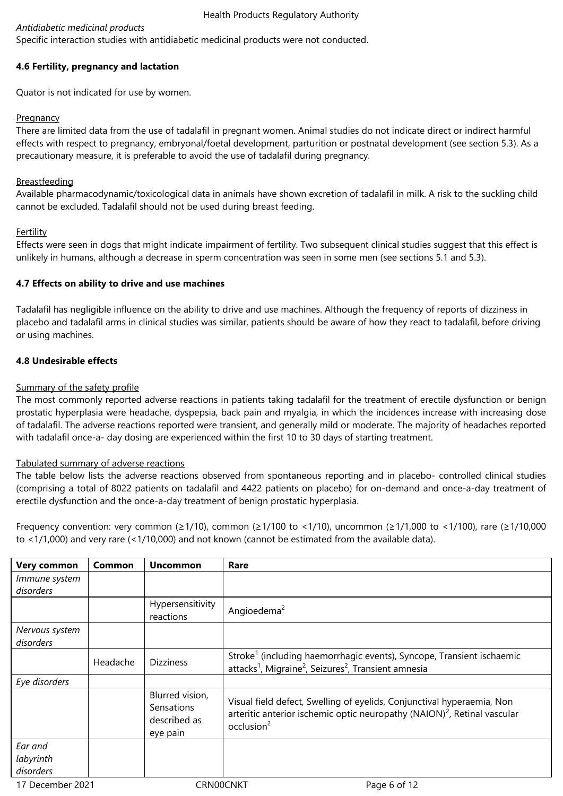## *Antidiabetic medicinal products*

Specific interaction studies with antidiabetic medicinal products were not conducted.

## **4.6 Fertility, pregnancy and lactation**

Quator is not indicated for use by women.

## **Pregnancy**

There are limited data from the use of tadalafil in pregnant women. Animal studies do not indicate direct or indirect harmful effects with respect to pregnancy, embryonal/foetal development, parturition or postnatal development (see section 5.3). As a precautionary measure, it is preferable to avoid the use of tadalafil during pregnancy.

## **Breastfeeding**

Available pharmacodynamic/toxicological data in animals have shown excretion of tadalafil in milk. A risk to the suckling child cannot be excluded. Tadalafil should not be used during breast feeding.

## **Fertility**

Effects were seen in dogs that might indicate impairment of fertility. Two subsequent clinical studies suggest that this effect is unlikely in humans, although a decrease in sperm concentration was seen in some men (see sections 5.1 and 5.3).

## **4.7 Effects on ability to drive and use machines**

Tadalafil has negligible influence on the ability to drive and use machines. Although the frequency of reports of dizziness in placebo and tadalafil arms in clinical studies was similar, patients should be aware of how they react to tadalafil, before driving or using machines.

## **4.8 Undesirable effects**

## Summary of the safety profile

The most commonly reported adverse reactions in patients taking tadalafil for the treatment of erectile dysfunction or benign prostatic hyperplasia were headache, dyspepsia, back pain and myalgia, in which the incidences increase with increasing dose of tadalafil. The adverse reactions reported were transient, and generally mild or moderate. The majority of headaches reported with tadalafil once-a- day dosing are experienced within the first 10 to 30 days of starting treatment.

## Tabulated summary of adverse reactions

The table below lists the adverse reactions observed from spontaneous reporting and in placebo- controlled clinical studies (comprising a total of 8022 patients on tadalafil and 4422 patients on placebo) for on-demand and once-a-day treatment of erectile dysfunction and the once-a-day treatment of benign prostatic hyperplasia.

Frequency convention: very common (≥1/10), common (≥1/100 to <1/10), uncommon (≥1/1,000 to <1/100), rare (≥1/10,000 to <1/1,000) and very rare (<1/10,000) and not known (cannot be estimated from the available data).

| <b>Very common</b> | Common   | <b>Uncommon</b>                                           | Rare                                                                                                                                                                                     |
|--------------------|----------|-----------------------------------------------------------|------------------------------------------------------------------------------------------------------------------------------------------------------------------------------------------|
| Immune system      |          |                                                           |                                                                                                                                                                                          |
| disorders          |          |                                                           |                                                                                                                                                                                          |
|                    |          | Hypersensitivity<br>reactions                             | Angioedema <sup>2</sup>                                                                                                                                                                  |
| Nervous system     |          |                                                           |                                                                                                                                                                                          |
| disorders          |          |                                                           |                                                                                                                                                                                          |
|                    | Headache | <b>Dizziness</b>                                          | Stroke <sup>1</sup> (including haemorrhagic events), Syncope, Transient ischaemic<br>attacks <sup>1</sup> , Migraine <sup>2</sup> , Seizures <sup>2</sup> , Transient amnesia            |
| Eye disorders      |          |                                                           |                                                                                                                                                                                          |
|                    |          | Blurred vision,<br>Sensations<br>described as<br>eye pain | Visual field defect, Swelling of eyelids, Conjunctival hyperaemia, Non<br>arteritic anterior ischemic optic neuropathy (NAION) <sup>2</sup> , Retinal vascular<br>occlusion <sup>2</sup> |
| Ear and            |          |                                                           |                                                                                                                                                                                          |
| labyrinth          |          |                                                           |                                                                                                                                                                                          |
| disorders          |          |                                                           |                                                                                                                                                                                          |
| 17 December 2021   |          | CRN00CNKT                                                 | Page 6 of 12                                                                                                                                                                             |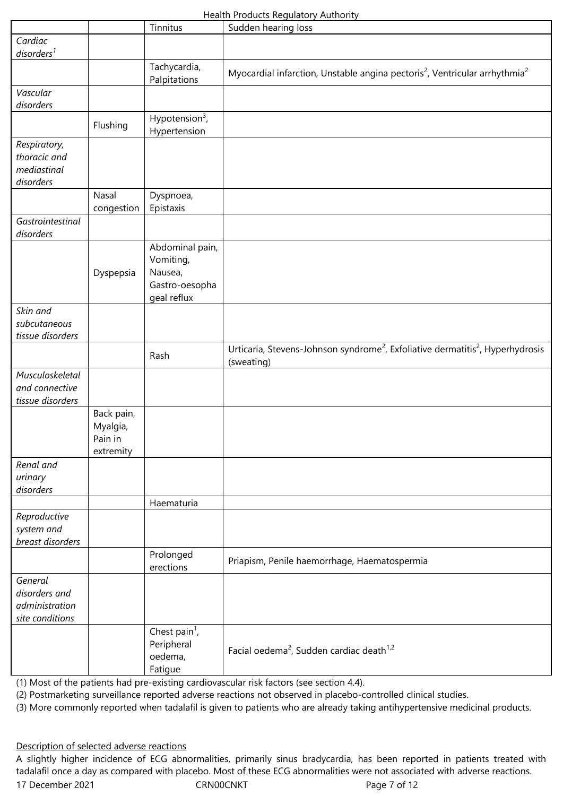|                                                               |                                                | Tinnitus                                                                 | Sudden hearing loss                                                                                                  |
|---------------------------------------------------------------|------------------------------------------------|--------------------------------------------------------------------------|----------------------------------------------------------------------------------------------------------------------|
| Cardiac<br>disorders <sup>1</sup>                             |                                                |                                                                          |                                                                                                                      |
|                                                               |                                                | Tachycardia,<br>Palpitations                                             | Myocardial infarction, Unstable angina pectoris <sup>2</sup> , Ventricular arrhythmia <sup>2</sup>                   |
| Vascular<br>disorders                                         |                                                |                                                                          |                                                                                                                      |
|                                                               | Flushing                                       | Hypotension $3$ ,<br>Hypertension                                        |                                                                                                                      |
| Respiratory,<br>thoracic and<br>mediastinal<br>disorders      |                                                |                                                                          |                                                                                                                      |
|                                                               | Nasal<br>congestion                            | Dyspnoea,<br>Epistaxis                                                   |                                                                                                                      |
| Gastrointestinal<br>disorders                                 |                                                |                                                                          |                                                                                                                      |
|                                                               | Dyspepsia                                      | Abdominal pain,<br>Vomiting,<br>Nausea,<br>Gastro-oesopha<br>geal reflux |                                                                                                                      |
| Skin and<br>subcutaneous<br>tissue disorders                  |                                                |                                                                          |                                                                                                                      |
|                                                               |                                                | Rash                                                                     | Urticaria, Stevens-Johnson syndrome <sup>2</sup> , Exfoliative dermatitis <sup>2</sup> , Hyperhydrosis<br>(sweating) |
| Musculoskeletal<br>and connective<br>tissue disorders         |                                                |                                                                          |                                                                                                                      |
|                                                               | Back pain,<br>Myalgia,<br>Pain in<br>extremity |                                                                          |                                                                                                                      |
| Renal and<br>urinary<br>disorders                             |                                                |                                                                          |                                                                                                                      |
|                                                               |                                                | Haematuria                                                               |                                                                                                                      |
| Reproductive<br>system and<br>breast disorders                |                                                |                                                                          |                                                                                                                      |
|                                                               |                                                | Prolonged<br>erections                                                   | Priapism, Penile haemorrhage, Haematospermia                                                                         |
| General<br>disorders and<br>administration<br>site conditions |                                                |                                                                          |                                                                                                                      |
|                                                               |                                                | Chest pain <sup>1</sup> ,<br>Peripheral<br>oedema,<br>Fatigue            | Facial oedema <sup>2</sup> , Sudden cardiac death <sup>1,2</sup>                                                     |

(1) Most of the patients had pre-existing cardiovascular risk factors (see section 4.4).

(2) Postmarketing surveillance reported adverse reactions not observed in placebo-controlled clinical studies.

(3) More commonly reported when tadalafil is given to patients who are already taking antihypertensive medicinal products.

## Description of selected adverse reactions

17 December 2021 CRN00CNKT Page 7 of 12 A slightly higher incidence of ECG abnormalities, primarily sinus bradycardia, has been reported in patients treated with tadalafil once a day as compared with placebo. Most of these ECG abnormalities were not associated with adverse reactions.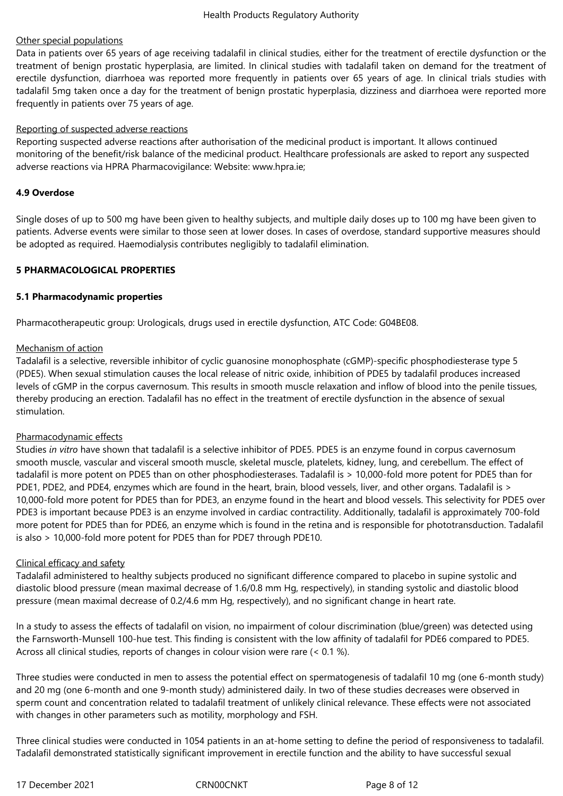## Other special populations

Data in patients over 65 years of age receiving tadalafil in clinical studies, either for the treatment of erectile dysfunction or the treatment of benign prostatic hyperplasia, are limited. In clinical studies with tadalafil taken on demand for the treatment of erectile dysfunction, diarrhoea was reported more frequently in patients over 65 years of age. In clinical trials studies with tadalafil 5mg taken once a day for the treatment of benign prostatic hyperplasia, dizziness and diarrhoea were reported more frequently in patients over 75 years of age.

## Reporting of suspected adverse reactions

Reporting suspected adverse reactions after authorisation of the medicinal product is important. It allows continued monitoring of the benefit/risk balance of the medicinal product. Healthcare professionals are asked to report any suspected adverse reactions via HPRA Pharmacovigilance: Website: www.hpra.ie;

## **4.9 Overdose**

Single doses of up to 500 mg have been given to healthy subjects, and multiple daily doses up to 100 mg have been given to patients. Adverse events were similar to those seen at lower doses. In cases of overdose, standard supportive measures should be adopted as required. Haemodialysis contributes negligibly to tadalafil elimination.

## **5 PHARMACOLOGICAL PROPERTIES**

## **5.1 Pharmacodynamic properties**

Pharmacotherapeutic group: Urologicals, drugs used in erectile dysfunction, ATC Code: G04BE08.

## Mechanism of action

Tadalafil is a selective, reversible inhibitor of cyclic guanosine monophosphate (cGMP)-specific phosphodiesterase type 5 (PDE5). When sexual stimulation causes the local release of nitric oxide, inhibition of PDE5 by tadalafil produces increased levels of cGMP in the corpus cavernosum. This results in smooth muscle relaxation and inflow of blood into the penile tissues, thereby producing an erection. Tadalafil has no effect in the treatment of erectile dysfunction in the absence of sexual stimulation.

## Pharmacodynamic effects

Studies *in vitro* have shown that tadalafil is a selective inhibitor of PDE5. PDE5 is an enzyme found in corpus cavernosum smooth muscle, vascular and visceral smooth muscle, skeletal muscle, platelets, kidney, lung, and cerebellum. The effect of tadalafil is more potent on PDE5 than on other phosphodiesterases. Tadalafil is > 10,000-fold more potent for PDE5 than for PDE1, PDE2, and PDE4, enzymes which are found in the heart, brain, blood vessels, liver, and other organs. Tadalafil is > 10,000-fold more potent for PDE5 than for PDE3, an enzyme found in the heart and blood vessels. This selectivity for PDE5 over PDE3 is important because PDE3 is an enzyme involved in cardiac contractility. Additionally, tadalafil is approximately 700-fold more potent for PDE5 than for PDE6, an enzyme which is found in the retina and is responsible for phototransduction. Tadalafil is also > 10,000-fold more potent for PDE5 than for PDE7 through PDE10.

## Clinical efficacy and safety

Tadalafil administered to healthy subjects produced no significant difference compared to placebo in supine systolic and diastolic blood pressure (mean maximal decrease of 1.6/0.8 mm Hg, respectively), in standing systolic and diastolic blood pressure (mean maximal decrease of 0.2/4.6 mm Hg, respectively), and no significant change in heart rate.

In a study to assess the effects of tadalafil on vision, no impairment of colour discrimination (blue/green) was detected using the Farnsworth-Munsell 100-hue test. This finding is consistent with the low affinity of tadalafil for PDE6 compared to PDE5. Across all clinical studies, reports of changes in colour vision were rare (< 0.1 %).

Three studies were conducted in men to assess the potential effect on spermatogenesis of tadalafil 10 mg (one 6-month study) and 20 mg (one 6-month and one 9-month study) administered daily. In two of these studies decreases were observed in sperm count and concentration related to tadalafil treatment of unlikely clinical relevance. These effects were not associated with changes in other parameters such as motility, morphology and FSH.

Three clinical studies were conducted in 1054 patients in an at-home setting to define the period of responsiveness to tadalafil. Tadalafil demonstrated statistically significant improvement in erectile function and the ability to have successful sexual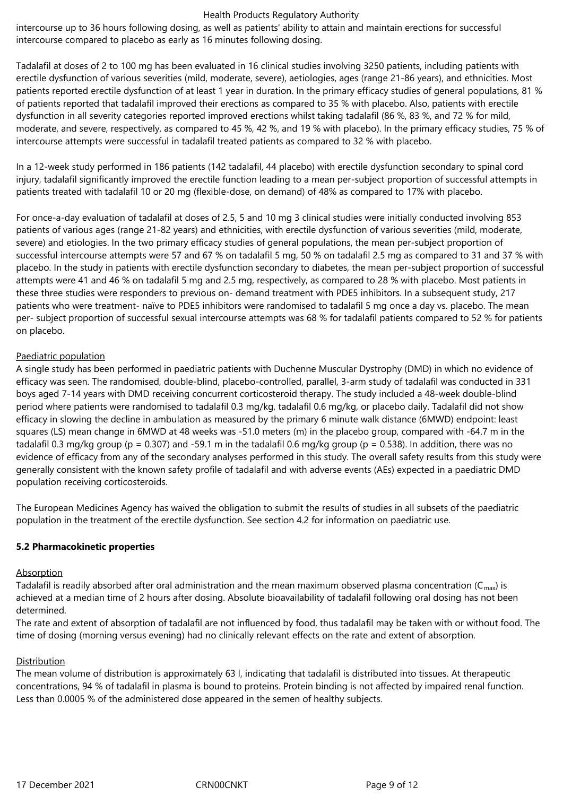intercourse up to 36 hours following dosing, as well as patients' ability to attain and maintain erections for successful intercourse compared to placebo as early as 16 minutes following dosing.

Tadalafil at doses of 2 to 100 mg has been evaluated in 16 clinical studies involving 3250 patients, including patients with erectile dysfunction of various severities (mild, moderate, severe), aetiologies, ages (range 21-86 years), and ethnicities. Most patients reported erectile dysfunction of at least 1 year in duration. In the primary efficacy studies of general populations, 81 % of patients reported that tadalafil improved their erections as compared to 35 % with placebo. Also, patients with erectile dysfunction in all severity categories reported improved erections whilst taking tadalafil (86 %, 83 %, and 72 % for mild, moderate, and severe, respectively, as compared to 45 %, 42 %, and 19 % with placebo). In the primary efficacy studies, 75 % of intercourse attempts were successful in tadalafil treated patients as compared to 32 % with placebo.

In a 12-week study performed in 186 patients (142 tadalafil, 44 placebo) with erectile dysfunction secondary to spinal cord injury, tadalafil significantly improved the erectile function leading to a mean per-subject proportion of successful attempts in patients treated with tadalafil 10 or 20 mg (flexible-dose, on demand) of 48% as compared to 17% with placebo.

For once-a-day evaluation of tadalafil at doses of 2.5, 5 and 10 mg 3 clinical studies were initially conducted involving 853 patients of various ages (range 21-82 years) and ethnicities, with erectile dysfunction of various severities (mild, moderate, severe) and etiologies. In the two primary efficacy studies of general populations, the mean per-subject proportion of successful intercourse attempts were 57 and 67 % on tadalafil 5 mg, 50 % on tadalafil 2.5 mg as compared to 31 and 37 % with placebo. In the study in patients with erectile dysfunction secondary to diabetes, the mean per-subject proportion of successful attempts were 41 and 46 % on tadalafil 5 mg and 2.5 mg, respectively, as compared to 28 % with placebo. Most patients in these three studies were responders to previous on- demand treatment with PDE5 inhibitors. In a subsequent study, 217 patients who were treatment- naïve to PDE5 inhibitors were randomised to tadalafil 5 mg once a day vs. placebo. The mean per- subject proportion of successful sexual intercourse attempts was 68 % for tadalafil patients compared to 52 % for patients on placebo.

## Paediatric population

A single study has been performed in paediatric patients with Duchenne Muscular Dystrophy (DMD) in which no evidence of efficacy was seen. The randomised, double-blind, placebo-controlled, parallel, 3-arm study of tadalafil was conducted in 331 boys aged 7-14 years with DMD receiving concurrent corticosteroid therapy. The study included a 48-week double-blind period where patients were randomised to tadalafil 0.3 mg/kg, tadalafil 0.6 mg/kg, or placebo daily. Tadalafil did not show efficacy in slowing the decline in ambulation as measured by the primary 6 minute walk distance (6MWD) endpoint: least squares (LS) mean change in 6MWD at 48 weeks was -51.0 meters (m) in the placebo group, compared with -64.7 m in the tadalafil 0.3 mg/kg group (p = 0.307) and -59.1 m in the tadalafil 0.6 mg/kg group (p = 0.538). In addition, there was no evidence of efficacy from any of the secondary analyses performed in this study. The overall safety results from this study were generally consistent with the known safety profile of tadalafil and with adverse events (AEs) expected in a paediatric DMD population receiving corticosteroids.

The European Medicines Agency has waived the obligation to submit the results of studies in all subsets of the paediatric population in the treatment of the erectile dysfunction. See section 4.2 for information on paediatric use.

## **5.2 Pharmacokinetic properties**

## Absorption

Tadalafil is readily absorbed after oral administration and the mean maximum observed plasma concentration ( $C_{\text{max}}$ ) is achieved at a median time of 2 hours after dosing. Absolute bioavailability of tadalafil following oral dosing has not been determined.

The rate and extent of absorption of tadalafil are not influenced by food, thus tadalafil may be taken with or without food. The time of dosing (morning versus evening) had no clinically relevant effects on the rate and extent of absorption.

## Distribution

The mean volume of distribution is approximately 63 l, indicating that tadalafil is distributed into tissues. At therapeutic concentrations, 94 % of tadalafil in plasma is bound to proteins. Protein binding is not affected by impaired renal function. Less than 0.0005 % of the administered dose appeared in the semen of healthy subjects.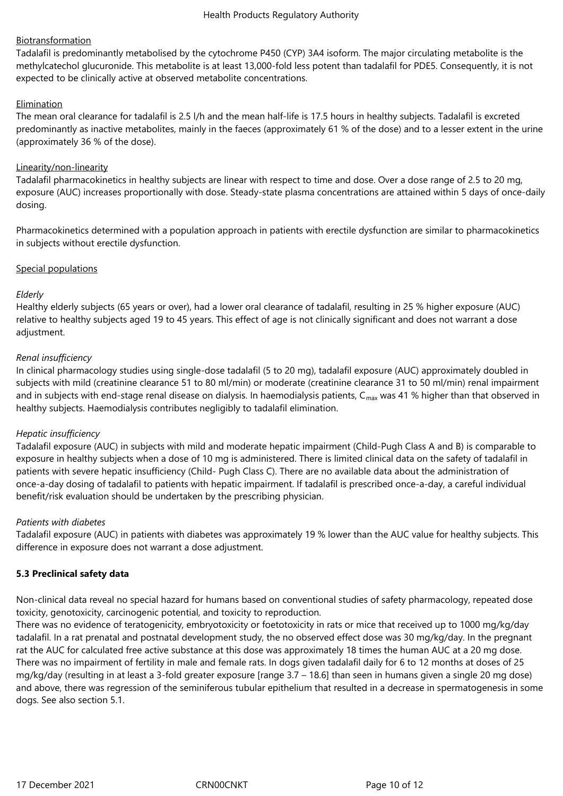## Biotransformation

Tadalafil is predominantly metabolised by the cytochrome P450 (CYP) 3A4 isoform. The major circulating metabolite is the methylcatechol glucuronide. This metabolite is at least 13,000-fold less potent than tadalafil for PDE5. Consequently, it is not expected to be clinically active at observed metabolite concentrations.

## Elimination

The mean oral clearance for tadalafil is 2.5 l/h and the mean half-life is 17.5 hours in healthy subjects. Tadalafil is excreted predominantly as inactive metabolites, mainly in the faeces (approximately 61 % of the dose) and to a lesser extent in the urine (approximately 36 % of the dose).

## Linearity/non-linearity

Tadalafil pharmacokinetics in healthy subjects are linear with respect to time and dose. Over a dose range of 2.5 to 20 mg, exposure (AUC) increases proportionally with dose. Steady-state plasma concentrations are attained within 5 days of once-daily dosing.

Pharmacokinetics determined with a population approach in patients with erectile dysfunction are similar to pharmacokinetics in subjects without erectile dysfunction.

## Special populations

## *Elderly*

Healthy elderly subjects (65 years or over), had a lower oral clearance of tadalafil, resulting in 25 % higher exposure (AUC) relative to healthy subjects aged 19 to 45 years. This effect of age is not clinically significant and does not warrant a dose adjustment.

## *Renal insufficiency*

In clinical pharmacology studies using single-dose tadalafil (5 to 20 mg), tadalafil exposure (AUC) approximately doubled in subjects with mild (creatinine clearance 51 to 80 ml/min) or moderate (creatinine clearance 31 to 50 ml/min) renal impairment and in subiects with end-stage renal disease on dialysis. In haemodialysis patients,  $C_{\text{max}}$  was 41 % higher than that observed in healthy subjects. Haemodialysis contributes negligibly to tadalafil elimination.

## *Hepatic insufficiency*

Tadalafil exposure (AUC) in subjects with mild and moderate hepatic impairment (Child-Pugh Class A and B) is comparable to exposure in healthy subjects when a dose of 10 mg is administered. There is limited clinical data on the safety of tadalafil in patients with severe hepatic insufficiency (Child- Pugh Class C). There are no available data about the administration of once-a-day dosing of tadalafil to patients with hepatic impairment. If tadalafil is prescribed once-a-day, a careful individual benefit/risk evaluation should be undertaken by the prescribing physician.

## *Patients with diabetes*

Tadalafil exposure (AUC) in patients with diabetes was approximately 19 % lower than the AUC value for healthy subjects. This difference in exposure does not warrant a dose adjustment.

## **5.3 Preclinical safety data**

Non-clinical data reveal no special hazard for humans based on conventional studies of safety pharmacology, repeated dose toxicity, genotoxicity, carcinogenic potential, and toxicity to reproduction.

There was no evidence of teratogenicity, embryotoxicity or foetotoxicity in rats or mice that received up to 1000 mg/kg/day tadalafil. In a rat prenatal and postnatal development study, the no observed effect dose was 30 mg/kg/day. In the pregnant rat the AUC for calculated free active substance at this dose was approximately 18 times the human AUC at a 20 mg dose. There was no impairment of fertility in male and female rats. In dogs given tadalafil daily for 6 to 12 months at doses of 25 mg/kg/day (resulting in at least a 3-fold greater exposure [range 3.7 – 18.6] than seen in humans given a single 20 mg dose) and above, there was regression of the seminiferous tubular epithelium that resulted in a decrease in spermatogenesis in some dogs. See also section 5.1.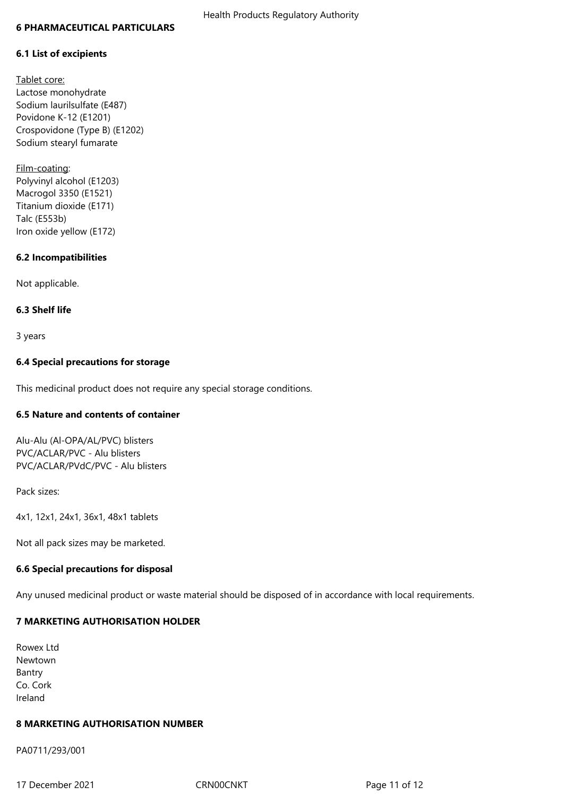#### **6 PHARMACEUTICAL PARTICULARS**

## **6.1 List of excipients**

Tablet core: Lactose monohydrate Sodium laurilsulfate (E487) Povidone K-12 (E1201) Crospovidone (Type B) (E1202) Sodium stearyl fumarate

Film-coating: Polyvinyl alcohol (E1203) Macrogol 3350 (E1521) Titanium dioxide (E171) Talc (E553b) Iron oxide yellow (E172)

## **6.2 Incompatibilities**

Not applicable.

## **6.3 Shelf life**

3 years

## **6.4 Special precautions for storage**

This medicinal product does not require any special storage conditions.

## **6.5 Nature and contents of container**

Alu-Alu (Al-OPA/AL/PVC) blisters PVC/ACLAR/PVC - Alu blisters PVC/ACLAR/PVdC/PVC - Alu blisters

Pack sizes:

4x1, 12x1, 24x1, 36x1, 48x1 tablets

Not all pack sizes may be marketed.

## **6.6 Special precautions for disposal**

Any unused medicinal product or waste material should be disposed of in accordance with local requirements.

## **7 MARKETING AUTHORISATION HOLDER**

Rowex Ltd Newtown Bantry Co. Cork Ireland

## **8 MARKETING AUTHORISATION NUMBER**

PA0711/293/001

17 December 2021 **CRNOOCNAT** CRNOOCNET **Page 11 of 12**